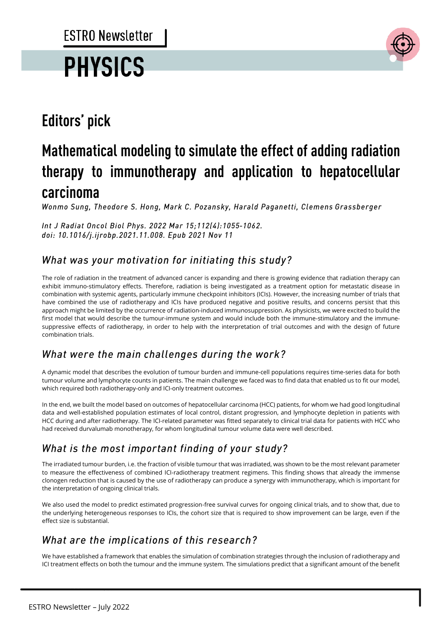# **PHYSICS**



### **Editors' pick**

## Mathematical modeling to simulate the effect of adding radiation therapy to immunotherapy and application to hepatocellular carcinoma

Wonmo Sung, Theodore S. Hong, Mark C. Pozansky, Harald Paganetti, Clemens Grassberger

Int J Radiat Oncol Biol Phys. 2022 Mar 15;112(4):1055-1062. doi: 10.1016/j.ijrobp.2021.11.008. Epub 2021 Nov 11

#### What was your motivation for initiating this study?

The role of radiation in the treatment of advanced cancer is expanding and there is growing evidence that radiation therapy can exhibit immuno-stimulatory effects. Therefore, radiation is being investigated as a treatment option for metastatic disease in combination with systemic agents, particularly immune checkpoint inhibitors (ICIs). However, the increasing number of trials that have combined the use of radiotherapy and ICIs have produced negative and positive results, and concerns persist that this approach might be limited by the occurrence of radiation-induced immunosuppression. As physicists, we were excited to build the first model that would describe the tumour-immune system and would include both the immune-stimulatory and the immunesuppressive effects of radiotherapy, in order to help with the interpretation of trial outcomes and with the design of future combination trials.

#### What were the main challenges during the work?

A dynamic model that describes the evolution of tumour burden and immune-cell populations requires time-series data for both tumour volume and lymphocyte counts in patients. The main challenge we faced was to find data that enabled us to fit our model, which required both radiotherapy-only and ICI-only treatment outcomes.

In the end, we built the model based on outcomes of hepatocellular carcinoma (HCC) patients, for whom we had good longitudinal data and well-established population estimates of local control, distant progression, and lymphocyte depletion in patients with HCC during and after radiotherapy. The ICI-related parameter was fitted separately to clinical trial data for patients with HCC who had received durvalumab monotherapy, for whom longitudinal tumour volume data were well described.

#### What is the most important finding of your study?

The irradiated tumour burden, i.e. the fraction of visible tumour that was irradiated, was shown to be the most relevant parameter to measure the effectiveness of combined ICI-radiotherapy treatment regimens. This finding shows that already the immense clonogen reduction that is caused by the use of radiotherapy can produce a synergy with immunotherapy, which is important for the interpretation of ongoing clinical trials.

We also used the model to predict estimated progression-free survival curves for ongoing clinical trials, and to show that, due to the underlying heterogeneous responses to ICIs, the cohort size that is required to show improvement can be large, even if the effect size is substantial.

#### What are the implications of this research?

We have established a framework that enables the simulation of combination strategies through the inclusion of radiotherapy and ICI treatment effects on both the tumour and the immune system. The simulations predict that a significant amount of the benefit